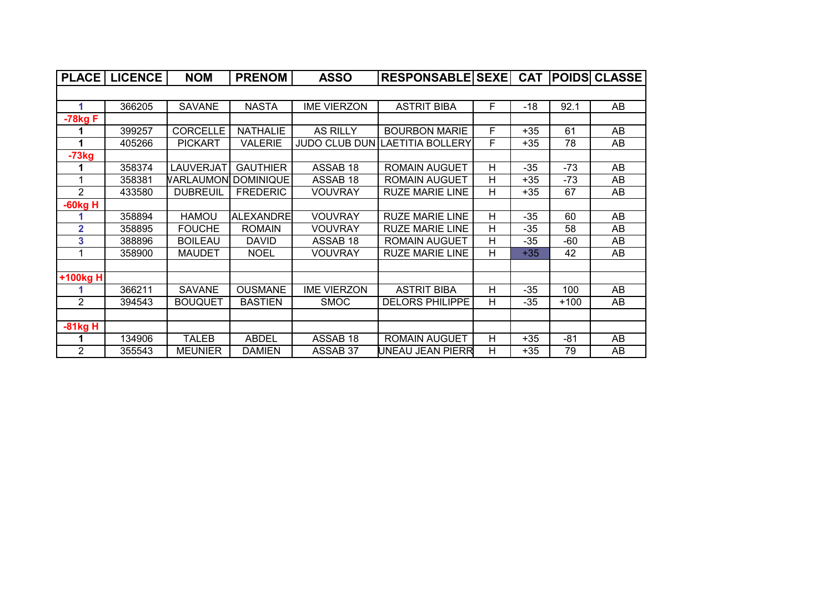|                | <b>PLACE   LICENCE</b> | <b>NOM</b>      | <b>PRENOM</b>    | <b>ASSO</b>         | RESPONSABLE SEXE CAT POIDS CLASSE |   |       |        |    |
|----------------|------------------------|-----------------|------------------|---------------------|-----------------------------------|---|-------|--------|----|
|                |                        |                 |                  |                     |                                   |   |       |        |    |
| 1              | 366205                 | <b>SAVANE</b>   | <b>NASTA</b>     | <b>IME VIERZON</b>  | <b>ASTRIT BIBA</b>                | F | $-18$ | 92.1   | AB |
| $-78kgF$       |                        |                 |                  |                     |                                   |   |       |        |    |
|                | 399257                 | <b>CORCELLE</b> | <b>NATHALIE</b>  | <b>AS RILLY</b>     | <b>BOURBON MARIE</b>              | F | $+35$ | 61     | AB |
|                | 405266                 | <b>PICKART</b>  | <b>VALERIE</b>   |                     | JUDO CLUB DUN LAETITIA BOLLERY    | F | $+35$ | 78     | AB |
| $-73kg$        |                        |                 |                  |                     |                                   |   |       |        |    |
|                | 358374                 | LAUVERJAT       | <b>GAUTHIER</b>  | ASSAB 18            | <b>ROMAIN AUGUET</b>              | н | $-35$ | $-73$  | AB |
| 1              | 358381                 | VARLAUMON       | DOMINIQUE        | ASSAB <sub>18</sub> | <b>ROMAIN AUGUET</b>              | Н | $+35$ | $-73$  | AB |
| $\overline{2}$ | 433580                 | <b>DUBREUIL</b> | <b>FREDERIC</b>  | <b>VOUVRAY</b>      | <b>RUZE MARIE LINE</b>            | H | $+35$ | 67     | AB |
| -60kg H        |                        |                 |                  |                     |                                   |   |       |        |    |
|                | 358894                 | <b>HAMOU</b>    | <b>ALEXANDRE</b> | <b>VOUVRAY</b>      | <b>RUZE MARIE LINE</b>            | Н | $-35$ | 60     | AB |
| $\mathbf{2}$   | 358895                 | <b>FOUCHE</b>   | <b>ROMAIN</b>    | <b>VOUVRAY</b>      | <b>RUZE MARIE LINE</b>            | н | -35   | 58     | AB |
| 3              | 388896                 | <b>BOILEAU</b>  | <b>DAVID</b>     | ASSAB 18            | <b>ROMAIN AUGUET</b>              | Н | $-35$ | -60    | AB |
| 1              | 358900                 | <b>MAUDET</b>   | <b>NOEL</b>      | <b>VOUVRAY</b>      | <b>RUZE MARIE LINE</b>            | н | $+35$ | 42     | AB |
|                |                        |                 |                  |                     |                                   |   |       |        |    |
| +100kg H       |                        |                 |                  |                     |                                   |   |       |        |    |
|                | 366211                 | <b>SAVANE</b>   | <b>OUSMANE</b>   | <b>IME VIERZON</b>  | <b>ASTRIT BIBA</b>                | н | $-35$ | 100    | AB |
| $\overline{2}$ | 394543                 | <b>BOUQUET</b>  | <b>BASTIEN</b>   | <b>SMOC</b>         | <b>DELORS PHILIPPE</b>            | н | -35   | $+100$ | AB |
|                |                        |                 |                  |                     |                                   |   |       |        |    |
| $-81kgH$       |                        |                 |                  |                     |                                   |   |       |        |    |
|                | 134906                 | <b>TALEB</b>    | <b>ABDEL</b>     | ASSAB 18            | <b>ROMAIN AUGUET</b>              | Н | $+35$ | -81    | AB |
| 2              | 355543                 | <b>MEUNIER</b>  | <b>DAMIEN</b>    | ASSAB 37            | UNEAU JEAN PIERR                  | Н | $+35$ | 79     | AB |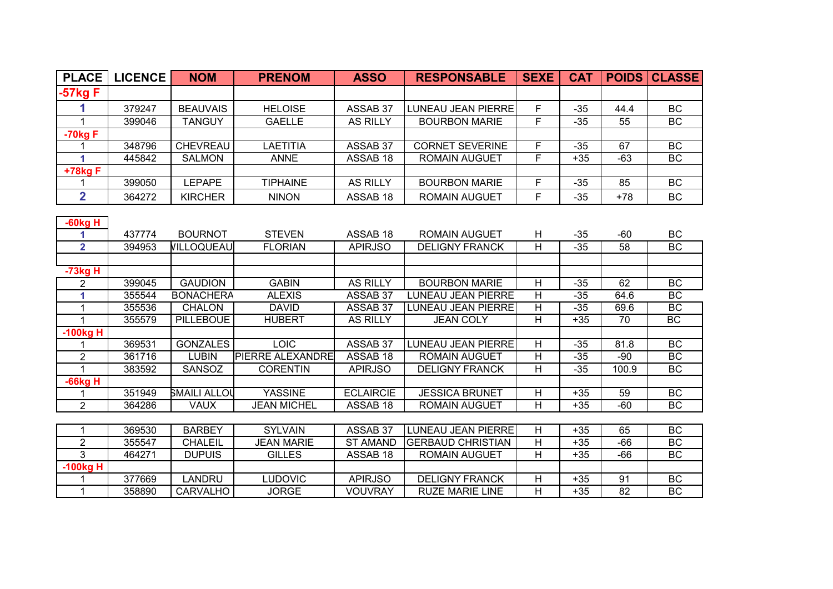| <b>PLACE</b>   | <b>LICENCE</b> | <b>NOM</b>          | <b>PRENOM</b>           | <b>ASSO</b>         | <b>RESPONSABLE</b>        | <b>SEXE</b>             | <b>CAT</b> | <b>POIDS</b> | <b>CLASSE</b> |
|----------------|----------------|---------------------|-------------------------|---------------------|---------------------------|-------------------------|------------|--------------|---------------|
| 57kg F         |                |                     |                         |                     |                           |                         |            |              |               |
| 1              | 379247         | <b>BEAUVAIS</b>     | <b>HELOISE</b>          | ASSAB 37            | <b>LUNEAU JEAN PIERRE</b> | F.                      | $-35$      | 44.4         | BC            |
| $\mathbf{1}$   | 399046         | <b>TANGUY</b>       | <b>GAELLE</b>           | <b>AS RILLY</b>     | <b>BOURBON MARIE</b>      | F                       | $-35$      | 55           | BC            |
| $-70kgF$       |                |                     |                         |                     |                           |                         |            |              |               |
| 1              | 348796         | <b>CHEVREAU</b>     | <b>LAETITIA</b>         | ASSAB 37            | <b>CORNET SEVERINE</b>    | F                       | $-35$      | 67           | BC            |
| 1              | 445842         | <b>SALMON</b>       | <b>ANNE</b>             | ASSAB 18            | <b>ROMAIN AUGUET</b>      | F                       | $+35$      | $-63$        | BC            |
| +78kg F        |                |                     |                         |                     |                           |                         |            |              |               |
| 1              | 399050         | LEPAPE              | <b>TIPHAINE</b>         | <b>AS RILLY</b>     | <b>BOURBON MARIE</b>      | F.                      | $-35$      | 85           | BC            |
| $\overline{2}$ | 364272         | <b>KIRCHER</b>      | <b>NINON</b>            | ASSAB <sub>18</sub> | <b>ROMAIN AUGUET</b>      | F                       | $-35$      | $+78$        | BC            |
|                |                |                     |                         |                     |                           |                         |            |              |               |
| $-60kgH$<br>1  | 437774         | <b>BOURNOT</b>      | <b>STEVEN</b>           | ASSAB 18            | <b>ROMAIN AUGUET</b>      |                         | $-35$      | $-60$        | BC            |
| $\overline{2}$ | 394953         | <b>VILLOQUEAU</b>   | <b>FLORIAN</b>          | <b>APIRJSO</b>      | <b>DELIGNY FRANCK</b>     | H<br>H                  | $-35$      | 58           | BC            |
|                |                |                     |                         |                     |                           |                         |            |              |               |
| -73kg H        |                |                     |                         |                     |                           |                         |            |              |               |
| $\overline{2}$ | 399045         | <b>GAUDION</b>      | <b>GABIN</b>            | <b>AS RILLY</b>     | <b>BOURBON MARIE</b>      | Н                       | $-35$      | 62           | <b>BC</b>     |
| 1              | 355544         | <b>BONACHERA</b>    | <b>ALEXIS</b>           | ASSAB 37            | <b>LUNEAU JEAN PIERRE</b> | H                       | $-35$      | 64.6         | BC            |
| $\mathbf{1}$   | 355536         | <b>CHALON</b>       | <b>DAVID</b>            | ASSAB 37            | <b>LUNEAU JEAN PIERRE</b> | H                       | $-35$      | 69.6         | <b>BC</b>     |
| $\mathbf{1}$   | 355579         | <b>PILLEBOUE</b>    | <b>HUBERT</b>           | <b>AS RILLY</b>     | <b>JEAN COLY</b>          | $\overline{H}$          | $+35$      | 70           | BC            |
| $-100kgH$      |                |                     |                         |                     |                           |                         |            |              |               |
| 1              | 369531         | <b>GONZALES</b>     | <b>LOIC</b>             | ASSAB 37            | <b>LUNEAU JEAN PIERRE</b> | H                       | $-35$      | 81.8         | <b>BC</b>     |
| $\overline{2}$ | 361716         | <b>LUBIN</b>        | <b>PIERRE ALEXANDRE</b> | ASSAB 18            | <b>ROMAIN AUGUET</b>      | H                       | $-35$      | $-90$        | BC            |
| $\mathbf{1}$   | 383592         | <b>SANSOZ</b>       | <b>CORENTIN</b>         | <b>APIRJSO</b>      | <b>DELIGNY FRANCK</b>     | H                       | $-35$      | 100.9        | <b>BC</b>     |
| $-66kg$ H      |                |                     |                         |                     |                           |                         |            |              |               |
| $\mathbf{1}$   | 351949         | <b>SMAILI ALLOU</b> | <b>YASSINE</b>          | <b>ECLAIRCIE</b>    | <b>JESSICA BRUNET</b>     | $\overline{H}$          | $+35$      | 59           | BC            |
| $\overline{2}$ | 364286         | <b>VAUX</b>         | <b>JEAN MICHEL</b>      | ASSAB <sub>18</sub> | <b>ROMAIN AUGUET</b>      | $\overline{\mathsf{H}}$ | $+35$      | $-60$        | BC            |
|                |                |                     |                         |                     |                           |                         |            |              |               |
| 1              | 369530         | <b>BARBEY</b>       | <b>SYLVAIN</b>          | ASSAB 37            | <b>LUNEAU JEAN PIERRE</b> | H                       | $+35$      | 65           | BC            |
| $\overline{2}$ | 355547         | <b>CHALEIL</b>      | <b>JEAN MARIE</b>       | <b>ST AMAND</b>     | <b>GERBAUD CHRISTIAN</b>  | $\overline{H}$          | $+35$      | $-66$        | BC            |
| $\overline{3}$ | 464271         | <b>DUPUIS</b>       | <b>GILLES</b>           | ASSAB 18            | <b>ROMAIN AUGUET</b>      | $\overline{H}$          | $+35$      | $-66$        | BC            |
| $-100kgH$      |                |                     |                         |                     |                           |                         |            |              |               |
| 1              | 377669         | <b>LANDRU</b>       | <b>LUDOVIC</b>          | <b>APIRJSO</b>      | <b>DELIGNY FRANCK</b>     | H                       | $+35$      | 91           | <b>BC</b>     |
| $\mathbf{1}$   | 358890         | <b>CARVALHO</b>     | <b>JORGE</b>            | <b>VOUVRAY</b>      | <b>RUZE MARIE LINE</b>    | H                       | $+35$      | 82           | <b>BC</b>     |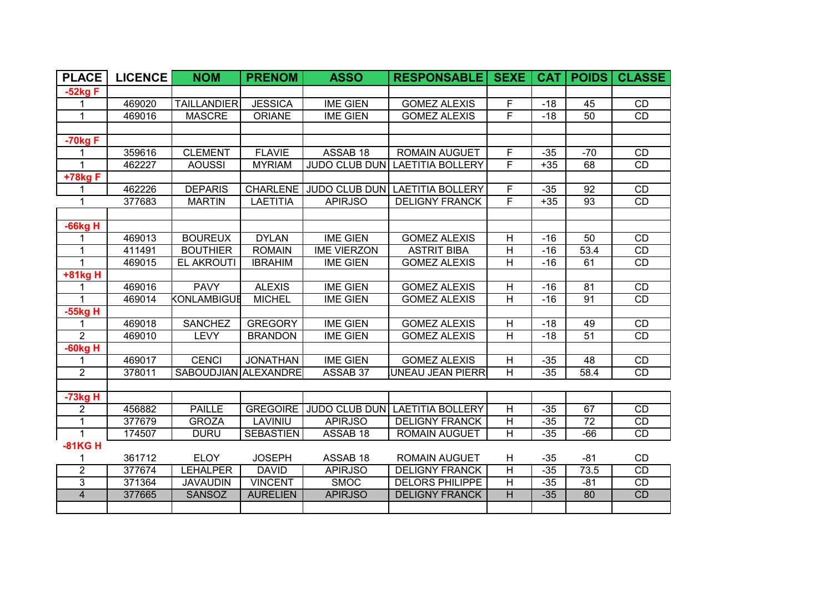| <b>PLACE</b>   | <b>LICENCE</b> | <b>NOM</b>           | <b>PRENOM</b>    | <b>ASSO</b>        | <b>RESPONSABLE</b>             | <b>SEXE</b>             | CAT   | <b>POIDS</b>    | <b>CLASSE</b>   |
|----------------|----------------|----------------------|------------------|--------------------|--------------------------------|-------------------------|-------|-----------------|-----------------|
| $-52kgF$       |                |                      |                  |                    |                                |                         |       |                 |                 |
| 1              | 469020         | <b>TAILLANDIER</b>   | <b>JESSICA</b>   | <b>IME GIEN</b>    | <b>GOMEZ ALEXIS</b>            | F                       | $-18$ | 45              | CD              |
| 1              | 469016         | <b>MASCRE</b>        | <b>ORIANE</b>    | <b>IME GIEN</b>    | <b>GOMEZ ALEXIS</b>            | $\overline{F}$          | $-18$ | 50              | CD              |
|                |                |                      |                  |                    |                                |                         |       |                 |                 |
| $-70kgF$       |                |                      |                  |                    |                                |                         |       |                 |                 |
| 1              | 359616         | <b>CLEMENT</b>       | <b>FLAVIE</b>    | ASSAB 18           | <b>ROMAIN AUGUET</b>           | F                       | $-35$ | $-70$           | CD              |
| 1              | 462227         | <b>AOUSSI</b>        | <b>MYRIAM</b>    | JUDO CLUB DUN      | <b>LAETITIA BOLLERY</b>        | F                       | $+35$ | 68              | CD              |
| +78kg F        |                |                      |                  |                    |                                |                         |       |                 |                 |
| 1              | 462226         | <b>DEPARIS</b>       | <b>CHARLENE</b>  |                    | JUDO CLUB DUN LAETITIA BOLLERY | F                       | $-35$ | 92              | CD              |
| $\mathbf{1}$   | 377683         | <b>MARTIN</b>        | <b>LAETITIA</b>  | <b>APIRJSO</b>     | <b>DELIGNY FRANCK</b>          | F                       | $+35$ | 93              | CD              |
|                |                |                      |                  |                    |                                |                         |       |                 |                 |
| -66kg H        |                |                      |                  |                    |                                |                         |       |                 |                 |
| 1              | 469013         | <b>BOUREUX</b>       | <b>DYLAN</b>     | <b>IME GIEN</b>    | <b>GOMEZ ALEXIS</b>            | Н                       | $-16$ | 50              | CD              |
| 1              | 411491         | <b>BOUTHIER</b>      | <b>ROMAIN</b>    | <b>IME VIERZON</b> | <b>ASTRIT BIBA</b>             | H                       | $-16$ | 53.4            | CD              |
| 1              | 469015         | <b>EL AKROUTI</b>    | <b>IBRAHIM</b>   | <b>IME GIEN</b>    | <b>GOMEZ ALEXIS</b>            | H                       | $-16$ | 61              | CD              |
| +81kg H        |                |                      |                  |                    |                                |                         |       |                 |                 |
| 1              | 469016         | <b>PAVY</b>          | <b>ALEXIS</b>    | <b>IME GIEN</b>    | <b>GOMEZ ALEXIS</b>            | Н                       | $-16$ | 81              | CD              |
| 1              | 469014         | KONLAMBIGUE          | <b>MICHEL</b>    | <b>IME GIEN</b>    | <b>GOMEZ ALEXIS</b>            | H                       | $-16$ | 91              | CD              |
| -55kg H        |                |                      |                  |                    |                                |                         |       |                 |                 |
| 1              | 469018         | <b>SANCHEZ</b>       | <b>GREGORY</b>   | <b>IME GIEN</b>    | <b>GOMEZ ALEXIS</b>            | H                       | $-18$ | 49              | CD              |
| $\overline{2}$ | 469010         | <b>LEVY</b>          | <b>BRANDON</b>   | <b>IME GIEN</b>    | <b>GOMEZ ALEXIS</b>            | $\overline{H}$          | $-18$ | 51              | <b>CD</b>       |
| $-60kgH$       |                |                      |                  |                    |                                |                         |       |                 |                 |
| 1              | 469017         | <b>CENCI</b>         | <b>JONATHAN</b>  | <b>IME GIEN</b>    | <b>GOMEZ ALEXIS</b>            | $\overline{H}$          | $-35$ | 48              | CD              |
| $\overline{2}$ | 378011         | SABOUDJIAN ALEXANDRE |                  | ASSAB 37           | UNEAU JEAN PIERR               | $\overline{\mathsf{H}}$ | $-35$ | 58.4            | CD              |
|                |                |                      |                  |                    |                                |                         |       |                 |                 |
| $-73kg$ H      |                |                      |                  |                    |                                |                         |       |                 |                 |
| $\overline{c}$ | 456882         | <b>PAILLE</b>        | GREGOIRE         |                    | JUDO CLUB DUN LAETITIA BOLLERY | H                       | $-35$ | 67              | CD              |
| $\overline{1}$ | 377679         | <b>GROZA</b>         | LAVINIU          | <b>APIRJSO</b>     | <b>DELIGNY FRANCK</b>          | $\overline{\mathsf{H}}$ | $-35$ | $\overline{72}$ | CD              |
| 1              | 174507         | <b>DURU</b>          | <b>SEBASTIEN</b> | ASSAB 18           | <b>ROMAIN AUGUET</b>           | $\overline{H}$          | $-35$ | $-66$           | $\overline{CD}$ |
| <b>-81KGH</b>  |                |                      |                  |                    |                                |                         |       |                 |                 |
| 1              | 361712         | <b>ELOY</b>          | <b>JOSEPH</b>    | ASSAB 18           | <b>ROMAIN AUGUET</b>           | н                       | $-35$ | $-81$           | CD              |
| $\overline{2}$ | 377674         | <b>LEHALPER</b>      | <b>DAVID</b>     | <b>APIRJSO</b>     | <b>DELIGNY FRANCK</b>          | Н                       | $-35$ | 73.5            | CD              |
| $\overline{3}$ | 371364         | <b>JAVAUDIN</b>      | <b>VINCENT</b>   | <b>SMOC</b>        | <b>DELORS PHILIPPE</b>         | H                       | $-35$ | $-81$           | CD              |
| $\overline{4}$ | 377665         | SANSOZ               | <b>AURELIEN</b>  | <b>APIRJSO</b>     | <b>DELIGNY FRANCK</b>          | H                       | $-35$ | 80              | CD              |
|                |                |                      |                  |                    |                                |                         |       |                 |                 |